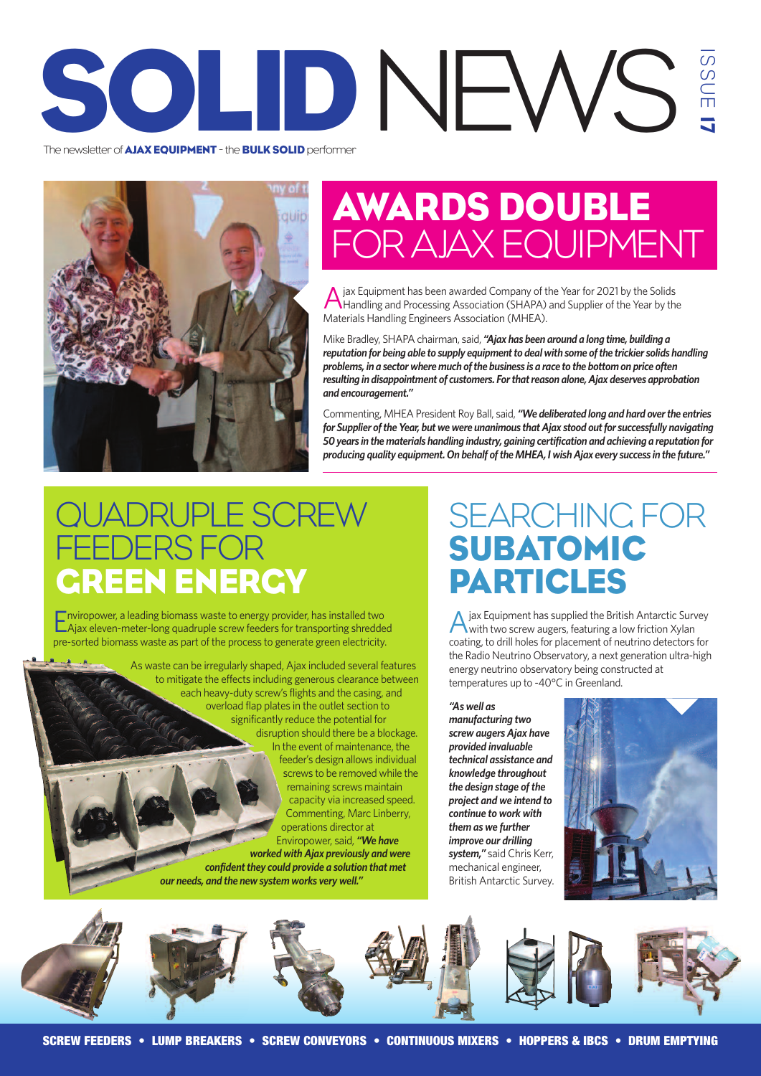### The newsletter of AIAX EQUIPMENT - the BULK SOLID performer The newsletter of **AJAX EQUIPMENT** - the **BULK SOLID** performer  $\omega$  $\subset$  $\Box$ <u>ا کا</u>



# AWARDS DOUBLE FORAJAX EQUIPMENT

A jax Equipment has been awarded Company of the Year for 2021 by the Solids<br>Handling and Processing Association (SHAPA) and Supplier of the Year by the Materials Handling Engineers Association (MHEA).

Mike Bradley, SHAPA chairman, said, "Ajax has been around a long time, building a *reputation for being able to supply equipment to deal with some of the trickier solids handling problems, in a sectorwheremuch ofthe business is a race to the bottomon price often resulting in disappointment of customers. Forthatreason alone,Ajax deserves approbation and encouragement."*

Commenting, MHEAPresident Roy Ball, said, *"We deliberated long and hard overthe entries for* Supplier of the Year, but we were unanimous that Ajax stood out for successfully navigating *50years in thematerials handling industry, gaining certification and achieving a reputation for producing quality equipment.On behalf oftheMHEA,IwishAjax every success in the future."*

## JADRUPLE SCREW DERS FOR GREEN ENERGY

Enviropower, <sup>a</sup> leading biomass waste to energy provider, has installed two Ajax eleven-meter-long quadruple screw feeders for transporting shredded pre-sorted biomass waste as part of the process to generate green electricity.

> As waste can be irregularly shaped, Ajax included several features to mitigate the effects including generous clearance between each heavy-duty screw's flights and the casing, and overload flap plates in the outlet section to significantly reduce the potential for disruption should there be a blockage. In the event of maintenance, the feeder's design allows individual screws to be removed while the remaining screws maintain capacity via increased speed. Commenting, Marc Linberry, operations director at Enviropower, said, *"We have worked withAjax previously and were confidentthey could provide a solution thatmet our needs, and the new systemworks very well."*

## SEARCHING FOR SUBATOMIC PARTICLES

Ajax Equipment has supplied the British Antarctic Survey with two screw augers, featuring a low friction Xylan coating, to drill holes for placement of neutrino detectors for the Radio Neutrino Observatory, a next generation ultra-high energy neutrino observatory being constructed at temperatures up to -40°C in Greenland.

*"As well as manufacturing two screw augers Ajax have provided invaluable technical assistance and knowledge throughout* **the** *design stage* of *the project and we intend to continue to work with them as we further improve our drilling system,"* said Chris Kerr, mechanical engineer, British Antarctic Survey.



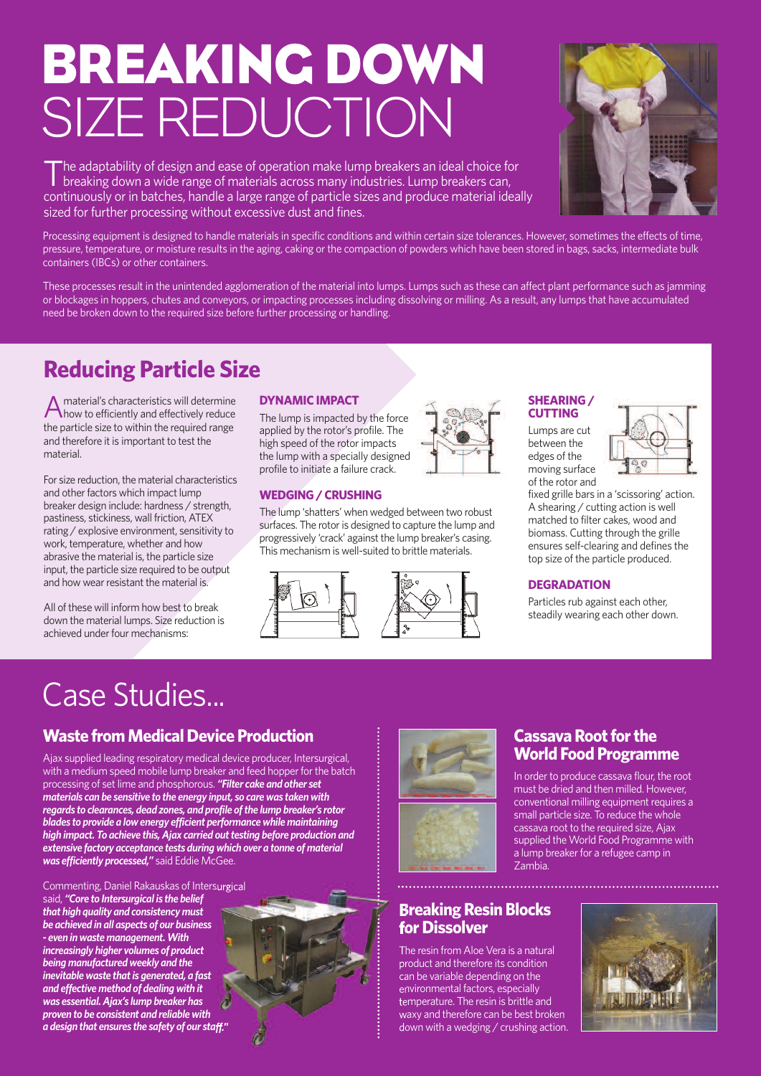# BREAKING DOWN SIZE REDUCTION

The adaptability of design and ease of operation make lump breakers an ideal choice for<br>breaking down a wide range of materials across many industries. Lump breakers can, continuously or in batches, handle a large range of particle sizes and produce material ideally sized for further processing without excessive dust and fines.



Processing equipment is designed to handle materials in specific conditions and within certain size tolerances. However, sometimes the effects of time, pressure, temperature, or moisture results in the aging, caking or the compaction of powders which have been stored in bags, sacks, intermediate bulk containers (IBCs) or other containers.

These processes result in the unintended agglomeration of the material into lumps. Lumps such as these can affect plant performance such as jamming or blockages in hoppers, chutes and conveyors, or impacting processes including dissolving or milling. As a result, any lumps that have accumulated need be broken down to the required size before further processing or handling.

## **Reducing Particle Size**

A material's characteristics will determine<br>how to efficiently and effectively reduce the particle size to within the required range and therefore it is important to test the material.

For size reduction, the material characteristics and other factors which impact lump breaker design include: hardness / strength, pastiness, stickiness, wall friction, ATEX rating / explosive environment, sensitivity to work, temperature, whether and how abrasive the material is, the particle size input, the particle size required to be output and how wear resistant the material is.

All of these will inform how best to break down the material lumps. Size reduction is achieved under four mechanisms:

#### **DYNAMIC IMPACT**

The lump is impacted by the force applied by the rotor's profile. The high speed of the rotor impacts the lump with a specially designed profile to initiate a failure crack.

#### **WEDGING/CRUSHING**

The lump 'shatters' when wedged between two robust surfaces. The rotor is designed to capture the lump and progressively 'crack' against the lump breaker's casing. This mechanism is well-suited to brittle materials.





#### **SHEARING/ CUTTING**

Lumps are cut between the edges of the moving surface of the rotor and



fixed grille bars in a 'scissoring' action. A shearing / cutting action is well matched to filter cakes, wood and biomass. Cutting through the grille ensures self-clearing and defines the top size of the particle produced.

### **DEGRADATION**

Particles rub against each other, steadily wearing each other down.

## Case Studies...

### **Waste from Medical Device Production**

Ajax supplied leading respiratory medical device producer, Intersurgical, with a medium speed mobile lump breaker and feed hopper for the batch processing of set lime and phosphorous. *"Filter cake and other set materials can be sensitive to the energy input, so care was taken with regards to clearances, dead zones, and profile ofthe lump breaker's rotor blades to provide a low energy efficient performance whilemaintaining high impact.* To *achieve this, Ajax carried out testing before production and*  $ext{e}$  *extensive factory acceptance tests during which over a tonne of material was efficiently processed,"* said Eddie McGee.

Commenting, Daniel Rakauskas of Intersurgical said, *"Core to Intersurgical is the belief that high quality and consistencymust be achieved in all aspects of our business - even in wastemanagement.With increasingly higher volumes of product*  $b$ *eing manufactured* weekly and the *inevitable waste thatis generated, a fast and effectivemethod of dealing with it was essential.Ajax's lump breaker has proven to be consistent and reliable with a design that ensures the safety of our staff."*





### **Cassava Root for the World Food Programme**

In order to produce cassava flour, the root must be dried and then milled. However, conventional milling equipment requires a small particle size. To reduce the whole cassava root to the required size, Ajax supplied the World Food Programme with a lump breaker for a refugee camp in Zambia.

### **Breaking Resin Blocks for Dissolver**

The resin from Aloe Vera is a natural product and therefore its condition can be variable depending on the environmental factors, especially temperature. The resin is brittle and waxy and therefore can be best broken down with a wedging / crushing action.

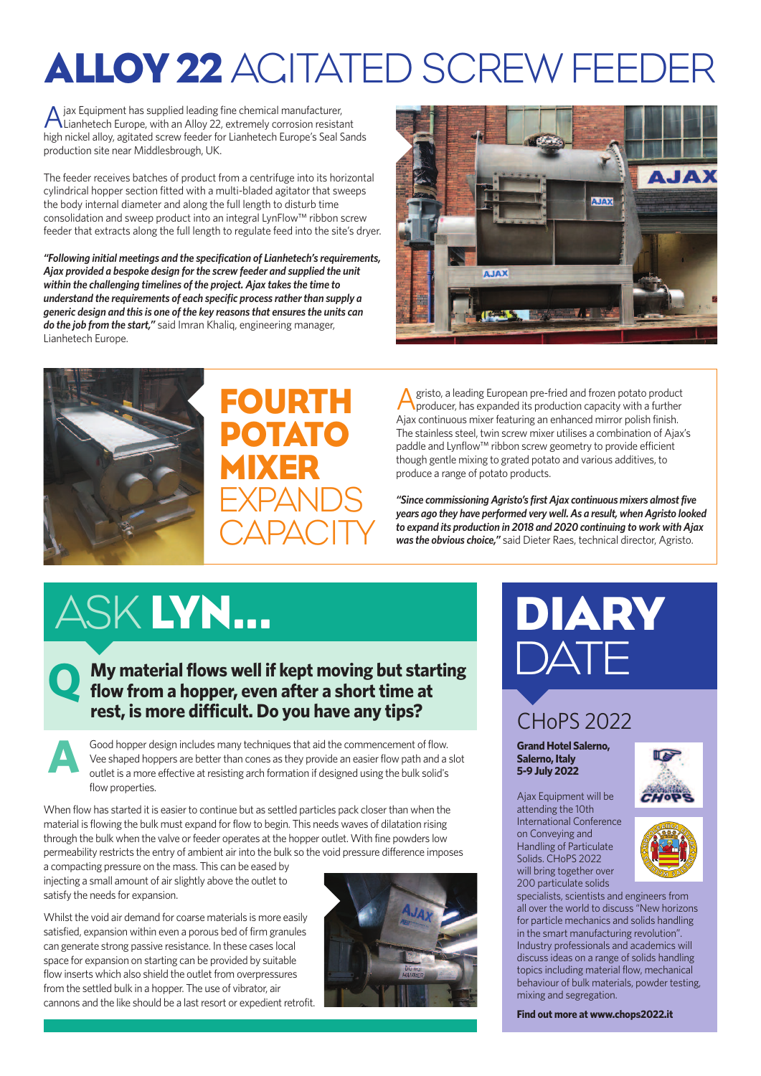# ALLOY 22 AGITATED SCREW FEEDER

A jax Equipment has supplied leading fine chemical manufacturer, Lianhetech Europe, with an Alloy 22, extremely corrosion resistant high nickel alloy, agitated screw feeder for Lianhetech Europe's Seal Sands production site near Middlesbrough, UK.

The feeder receives batches of product from a centrifuge into its horizontal cylindrical hopper section fitted with a multi-bladed agitator that sweeps the body internal diameter and along the full length to disturb time consolidation and sweep product into an integral LynFlow™ ribbon screw feeder that extracts along the full length to regulate feed into the site's dryer.

*"Following initial meetings and the specification of Lianhetech's requirements, Ajax provided a bespoke design forthe screw feeder and supplied the unit within the challenging timelines of the project. Ajax takes the time to understand the requirements of each specific process ratherthan supply a generic design and this is one of the key reasons that ensures the units can do the job from the start,"* said Imran Khaliq, engineering manager, Lianhetech Europe.





## FOURTH POTATO MIXER EXPANDS **CAPACITY**

A gristo, a leading European pre-fried and frozen potato product<br>
Aproducer has expanded its assistant producer, has expanded its production capacity with a further Ajax continuous mixer featuring an enhanced mirror polish finish. The stainless steel, twin screw mixer utilises a combination of Ajax's paddle and Lynflow™ ribbon screw geometry to provide efficient though gentle mixing to grated potato and various additives, to produce a range of potato products.

"Since commissioning Agristo's first Ajax continuous mixers almost five *years ago they have performed very well.As a result, whenAgristo looked to expand its production in 2018 and 2020 continuing to work with Ajax was the obvious choice,"* said Dieter Raes, technical director, Agristo.

# ASK LYN...

## **My material flows well if kept moving but starting flow** from a hopper, even after a short time at  $\bullet$ **rest, is more difficult. Do you have any tips?**

Good hopper design includes many techniques that aid the commencement of flow. Vee shaped hoppers are better than cones as they provide an easier flow path and a slot outlet is a more effective at resisting arch formation if designed using the bulk solid's flow properties. **A**

When flow has started it is easier to continue but as settled particles pack closer than when the material is flowing the bulk must expand forflow to begin. This needs waves of dilatation rising through the bulk when the valve or feeder operates at the hopper outlet. With fine powders low permeability restricts the entry of ambient airinto the bulk so the void pressure difference imposes

a compacting pressure on the mass. This can be eased by injecting a small amount of air slightly above the outlet to satisfy the needs for expansion.

Whilst the void air demand for coarse materials is more easily satisfied, expansion within even a porous bed of firm granules can generate strong passive resistance. In these cases local space for expansion on starting can be provided by suitable flow inserts which also shield the outlet from overpressures from the settled bulk in a hopper. The use of vibrator, air cannons and the like should be a last resort or expedient retrofit.



# DIARY **DATE** CHoPS 2022

**Grand Hotel Salerno,**

**Salerno, Italy 5-9 July 2022**

Ajax Equipment will be attending the 10th International Conference on Conveying and Handling of Particulate Solids. CHoPS 2022 will bring together over 200 particulate solids





specialists, scientists and engineers from all over the world to discuss "New horizons for particle mechanics and solids handling in the smart manufacturing revolution". Industry professionals and academics will discuss ideas on a range of solids handling topics including material flow, mechanical behaviour of bulk materials, powder testing, mixing and segregation.

**Find out more at <www.chops2022.it>**